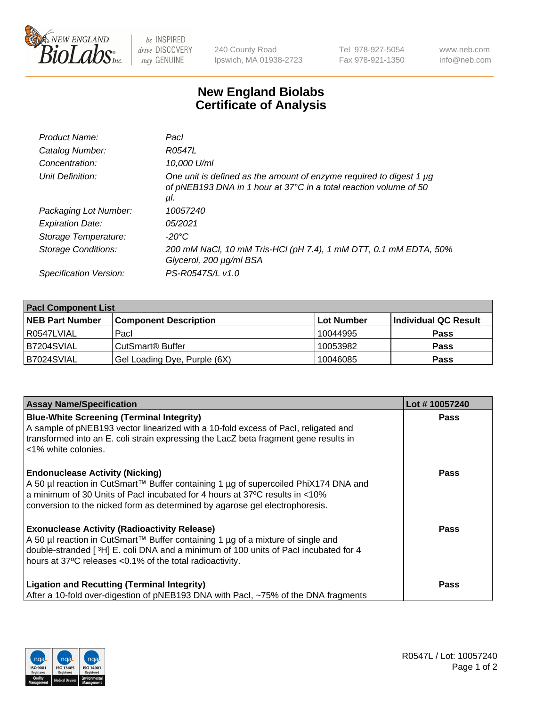

 $be$  INSPIRED drive DISCOVERY stay GENUINE

240 County Road Ipswich, MA 01938-2723 Tel 978-927-5054 Fax 978-921-1350 www.neb.com info@neb.com

## **New England Biolabs Certificate of Analysis**

| Product Name:           | Pacl                                                                                                                                            |
|-------------------------|-------------------------------------------------------------------------------------------------------------------------------------------------|
| Catalog Number:         | R0547L                                                                                                                                          |
| Concentration:          | 10,000 U/ml                                                                                                                                     |
| Unit Definition:        | One unit is defined as the amount of enzyme required to digest 1 µg<br>of pNEB193 DNA in 1 hour at 37°C in a total reaction volume of 50<br>μI. |
| Packaging Lot Number:   | 10057240                                                                                                                                        |
| <b>Expiration Date:</b> | 05/2021                                                                                                                                         |
| Storage Temperature:    | $-20^{\circ}$ C                                                                                                                                 |
| Storage Conditions:     | 200 mM NaCl, 10 mM Tris-HCl (pH 7.4), 1 mM DTT, 0.1 mM EDTA, 50%<br>Glycerol, 200 µg/ml BSA                                                     |
| Specification Version:  | PS-R0547S/L v1.0                                                                                                                                |

| <b>Pacl Component List</b> |                              |             |                      |  |  |
|----------------------------|------------------------------|-------------|----------------------|--|--|
| <b>NEB Part Number</b>     | <b>Component Description</b> | ∣Lot Number | Individual QC Result |  |  |
| R0547LVIAL                 | Pacl                         | 10044995    | <b>Pass</b>          |  |  |
| B7204SVIAL                 | CutSmart <sup>®</sup> Buffer | 10053982    | <b>Pass</b>          |  |  |
| B7024SVIAL                 | Gel Loading Dye, Purple (6X) | 10046085    | <b>Pass</b>          |  |  |

| <b>Assay Name/Specification</b>                                                                                                                                                                                                                                                             | Lot #10057240 |
|---------------------------------------------------------------------------------------------------------------------------------------------------------------------------------------------------------------------------------------------------------------------------------------------|---------------|
| <b>Blue-White Screening (Terminal Integrity)</b><br>A sample of pNEB193 vector linearized with a 10-fold excess of Pacl, religated and<br>transformed into an E. coli strain expressing the LacZ beta fragment gene results in<br><1% white colonies.                                       | <b>Pass</b>   |
| <b>Endonuclease Activity (Nicking)</b><br>A 50 µl reaction in CutSmart™ Buffer containing 1 µg of supercoiled PhiX174 DNA and<br>a minimum of 30 Units of Pacl incubated for 4 hours at 37°C results in <10%<br>conversion to the nicked form as determined by agarose gel electrophoresis. | <b>Pass</b>   |
| <b>Exonuclease Activity (Radioactivity Release)</b><br>A 50 µl reaction in CutSmart™ Buffer containing 1 µg of a mixture of single and<br>double-stranded [3H] E. coli DNA and a minimum of 100 units of Pacl incubated for 4<br>hours at 37°C releases <0.1% of the total radioactivity.   | Pass          |
| <b>Ligation and Recutting (Terminal Integrity)</b><br>After a 10-fold over-digestion of pNEB193 DNA with Pacl, ~75% of the DNA fragments                                                                                                                                                    | <b>Pass</b>   |